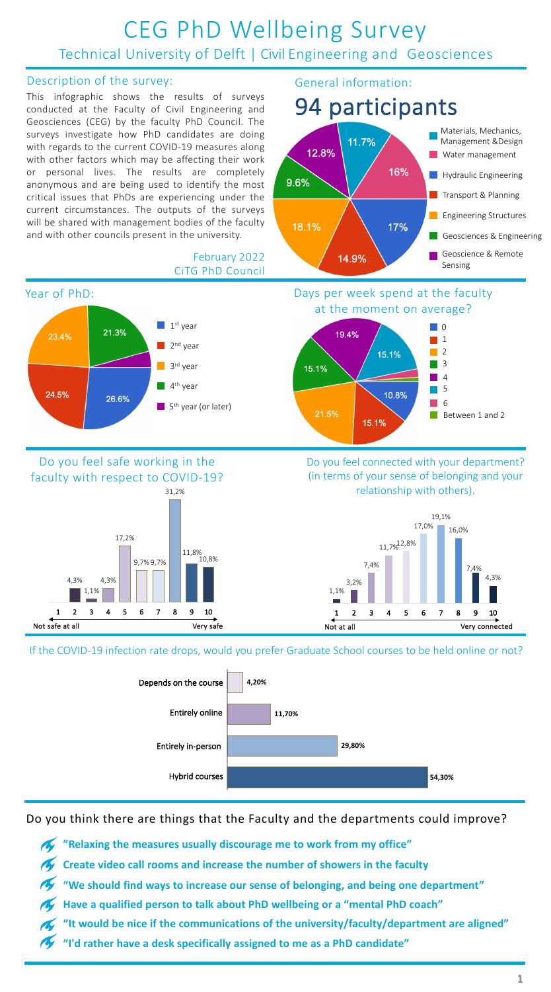### CEG PhD Wellbeing Survey Technical University of Delft | Civil Engineering and Geosciences

#### Description of the survey:

This infographic shows the results of surveys conducted at the Faculty of Civil Engineering and Geosciences (CEG) by the faculty PhD Council. The surveys investigate how PhD candidates are doing with regards to the current COVID-19 measures along with other factors which may be affecting their work or personal lives. The results are completely anonymous and are being used to identify the most critical issues that PhDs are experiencing under the current circumstances. The outputs of the surveys will be shared with management bodies of the faculty and with other councils present in the university.

#### General information:

### 94 participants

# at the moment on average?

#### February 2022 CiTG PhD Council

Do you feel connected with your department? (in terms of your sense of belonging and your relationship with others).



### Do you feel safe working in the faculty with respect to COVID-19?









If the COVID-19 infection rate drops, would you prefer Graduate School courses to be held online or not?



Do you think there are things that the Faculty and the departments could improve?

**"Relaxing the measures usually discourage me to work from my office" Create video call rooms and increase the number of showers in the faculty "We should find ways to increase our sense of belonging, and being one department" Have a qualified person to talk about PhD wellbeing or a "mental PhD coach" "It would be nice if the communications of the university/faculty/department are aligned" "I'd rather have a desk specifically assigned to me as a PhD candidate"**